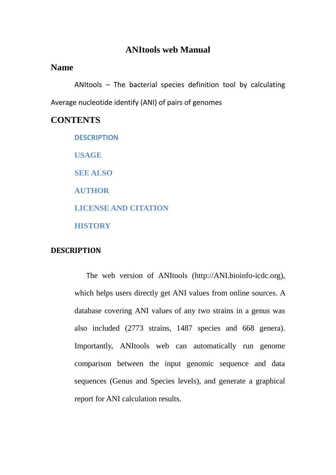## **ANItools web Manual**

## **Name**

ANItools – The bacterial species definition tool by calculating Average nucleotide identify (ANI) of pairs of genomes

### **CONTENTS**

**[DESCRIPTION](#page-0-0) [USAGE](#page-1-0) [SEE ALSO](#page-6-0) [AUTHOR](#page-6-1) [LICENSE AND CITATION](#page-6-2) [HISTORY](#page-6-3)**

### <span id="page-0-0"></span>**DESCRIPTION**

The web version of ANItools (http://ANI.bioinfo-icdc.org), which helps users directly get ANI values from online sources. A database covering ANI values of any two strains in a genus was also included (2773 strains, 1487 species and 668 genera). Importantly, ANItools web can automatically run genome comparison between the input genomic sequence and data sequences (Genus and Species levels), and generate a graphical report for ANI calculation results.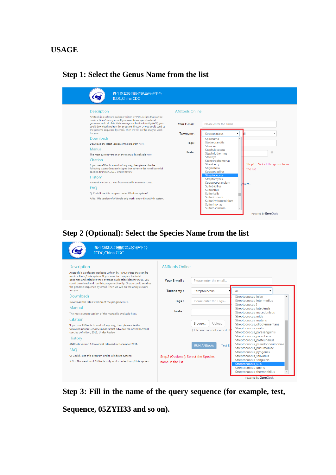## <span id="page-1-0"></span>**USAGE**

## **Step 1: Select the Genus Name from the list**

| 微生物基因组遗传差异分析平台<br><b>ICDC, China CDC</b>                                                                                                                                                                                                                                                                                                                                                                                                                                                                                                                                                                                                                                                                                                                                                                                                                                                                                                              |                                                                        |                                                                                                                                                                                                                                                                                                                                                                                                                        |   |                                                        |
|-------------------------------------------------------------------------------------------------------------------------------------------------------------------------------------------------------------------------------------------------------------------------------------------------------------------------------------------------------------------------------------------------------------------------------------------------------------------------------------------------------------------------------------------------------------------------------------------------------------------------------------------------------------------------------------------------------------------------------------------------------------------------------------------------------------------------------------------------------------------------------------------------------------------------------------------------------|------------------------------------------------------------------------|------------------------------------------------------------------------------------------------------------------------------------------------------------------------------------------------------------------------------------------------------------------------------------------------------------------------------------------------------------------------------------------------------------------------|---|--------------------------------------------------------|
| <b>Description</b><br>ANItools is a software package written by PERL scripts that can be<br>run in a Linux/Unix system. If you want to compare bacterial<br>genomes and calculate their average nucleotide identity (ANI), you<br>could download and run this program directly. Or you could send us<br>the genome sequence by email. Then we will do the analysis work<br>for you.<br><b>Downloads</b><br>Download the latest version of the program here.<br>Manual<br>The most current version of the manual is available here.<br>Citation<br>If you use ANItools in work of any way, then please cite the<br>following paper: Genome insights that advance the novel bacterial<br>species definition, 2011, Under Review<br><b>History</b><br>ANItools version 1.0 was first released in December 2011.<br><b>FAO</b><br>Q: Could I use this program under Windows system?<br>A:No. This version of ANItools only works under Linux/Unix system. | <b>ANItools Online</b><br>Your E-mail:<br>Taxonomy:<br>Tags:<br>Fasta: | Please enter the email<br><b>Streptococcus</b><br>Spirosoma<br>Stackebrandtia<br>Stanieria<br>Staphylococcus<br>Staphylothermus<br>Starkeva<br>Stenotrophomonas<br>Strawberry<br>Stigmatella<br>Streptobacillus<br><b>Streptococcus</b><br>Streptomyces<br>Streptosporangium<br><b>Sulfobacillus</b><br><b>Sulfolobus</b><br>Sulfuricella<br>Sulfuricurvum<br>Sulfurihydrogenibium<br>Sulfurimonas<br>Sulfurospirillum | ▼ | ⋒<br>Step1: Select the genus from<br>the list<br>boint |
|                                                                                                                                                                                                                                                                                                                                                                                                                                                                                                                                                                                                                                                                                                                                                                                                                                                                                                                                                       |                                                                        |                                                                                                                                                                                                                                                                                                                                                                                                                        |   | Powered by GeneDock                                    |

## **Step 2 (Optional): Select the Species Name from the list**

| 微生物基因组遗传差异分析平台<br><b>ICDC, China CDC</b>                                                                                                                                                                                                                                                                                                          |                                      |                                                  |                                                                                                            |
|---------------------------------------------------------------------------------------------------------------------------------------------------------------------------------------------------------------------------------------------------------------------------------------------------------------------------------------------------|--------------------------------------|--------------------------------------------------|------------------------------------------------------------------------------------------------------------|
| <b>Description</b>                                                                                                                                                                                                                                                                                                                                | <b>ANItools Online</b>               |                                                  |                                                                                                            |
| ANItools is a software package written by PERL scripts that can be<br>run in a Linux/Unix system. If you want to compare bacterial<br>genomes and calculate their average nucleotide identity (ANI), you<br>could download and run this program directly. Or you could send us<br>the genome sequence by email. Then we will do the analysis work | Your E-mail:                         | Please enter the email                           |                                                                                                            |
| for you.                                                                                                                                                                                                                                                                                                                                          | Taxonomy:                            | Streptococcus                                    | all                                                                                                        |
| Downloads<br>Download the latest version of the program here.                                                                                                                                                                                                                                                                                     | Tags:                                | Please enter the Tags                            | Streptococcus_iniae<br>Streptococcus intermedius<br>Streptococcus I                                        |
| Manual                                                                                                                                                                                                                                                                                                                                            |                                      |                                                  | Streptococcus_lutetiensis                                                                                  |
| The most current version of the manual is available here.                                                                                                                                                                                                                                                                                         | Fasta:                               |                                                  | Streptococcus macedonicus<br>Streptococcus mitis                                                           |
| Citation                                                                                                                                                                                                                                                                                                                                          |                                      |                                                  | Streptococcus_mutans                                                                                       |
| If you use ANItools in work of any way, then please cite the<br>following paper: Genome insights that advance the novel bacterial<br>species definition, 2011, Under Review                                                                                                                                                                       |                                      | Upload<br>Browse<br>(File size can not exceed 5) | Streptococcus oligofermentans<br>Streptococcus oralis<br>Streptococcus_parasanguinis                       |
| <b>History</b>                                                                                                                                                                                                                                                                                                                                    |                                      |                                                  | Streptococcus_parauberis<br>Streptococcus pasteurianus                                                     |
| ANItools version 1.0 was first released in December 2011.                                                                                                                                                                                                                                                                                         |                                      | <b>RUN ANItools</b><br><b>Test Er</b>            | Streptococcus_pseudopneumoniae                                                                             |
| <b>FAO</b>                                                                                                                                                                                                                                                                                                                                        |                                      |                                                  | Streptococcus_pneumoniae<br>Streptococcus pyogenes                                                         |
| Q: Could I use this program under Windows system?                                                                                                                                                                                                                                                                                                 | Step2 (Optional): Select the Species |                                                  | Streptococcus salivarius                                                                                   |
| A:No. This version of ANItools only works under Linux/Unix system.                                                                                                                                                                                                                                                                                | name in the list                     |                                                  | Streptococcus_sanguinis<br><b>Streptococcus suis</b><br>Streptococcus uberis<br>Streptococcus thermophilus |
|                                                                                                                                                                                                                                                                                                                                                   |                                      |                                                  | Powered by GeneDock                                                                                        |

**Step 3: Fill in the name of the query sequence (for example, test,** 

**Sequence, 05ZYH33 and so on).**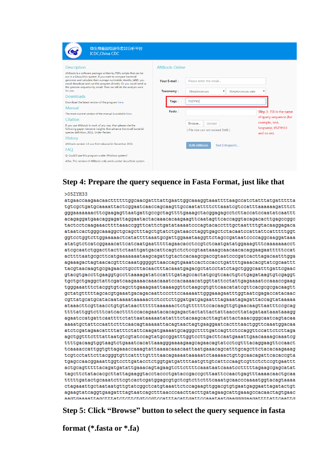| 微生物基因组遗传差异分析平台<br><b>ICDC, China CDC</b>                                                                                                                                                                                                                                                                                                                                                                                              |                                    |                                                                                                 |                                                    |
|---------------------------------------------------------------------------------------------------------------------------------------------------------------------------------------------------------------------------------------------------------------------------------------------------------------------------------------------------------------------------------------------------------------------------------------|------------------------------------|-------------------------------------------------------------------------------------------------|----------------------------------------------------|
| <b>Description</b>                                                                                                                                                                                                                                                                                                                                                                                                                    | <b>ANItools Online</b>             |                                                                                                 |                                                    |
| ANItools is a software package written by PERL scripts that can be<br>run in a Linux/Unix system. If you want to compare bacterial<br>genomes and calculate their average nucleotide identity (ANI), you<br>could download and run this program directly. Or you could send us<br>the genome sequence by email. Then we will do the analysis work<br>for you.<br><b>Downloads</b><br>Download the latest version of the program here. | Your E-mail:<br>Taxonomy:<br>Tags: | Please enter the email<br>Streptococcus<br>Streptococcus_suis<br>$\blacktriangledown$<br>05ZYH3 |                                                    |
| Manual<br>The most current version of the manual is available here.                                                                                                                                                                                                                                                                                                                                                                   | Fasta:                             |                                                                                                 | Step 3: Fill in the name<br>of query sequence (for |
| Citation                                                                                                                                                                                                                                                                                                                                                                                                                              |                                    |                                                                                                 | example, test,                                     |
| If you use ANItools in work of any way, then please cite the<br>following paper: Genome insights that advance the novel bacterial<br>species definition, 2011, Under Review                                                                                                                                                                                                                                                           |                                    | Browse<br>Upload<br>(File size can not exceed 5MB)                                              | Segname, 05ZYH33<br>and so on).                    |
| <b>History</b>                                                                                                                                                                                                                                                                                                                                                                                                                        |                                    |                                                                                                 |                                                    |
| ANItools version 1.0 was first released in December 2011.                                                                                                                                                                                                                                                                                                                                                                             |                                    | <b>RUN ANItools</b><br><b>Test Entrypoint</b>                                                   |                                                    |
| <b>FAQ</b>                                                                                                                                                                                                                                                                                                                                                                                                                            |                                    |                                                                                                 |                                                    |
| Q: Could I use this program under Windows system?                                                                                                                                                                                                                                                                                                                                                                                     |                                    |                                                                                                 |                                                    |
| A:No. This version of ANItools only works under Linux/Unix system.                                                                                                                                                                                                                                                                                                                                                                    |                                    |                                                                                                 |                                                    |

#### **Step 4: Prepare the query sequence in Fasta Format, just like that**  $>0.57$ YH33 atgaaccaagaacaacttttttggcaacgatttattgaattggcaaaggtaaattttaagccatctatttatgattttta tgtcgctgatgcaaaattactcggaatcaaccagcaagttgccaatattttcttaaatcgtccatttaaaaaagatttct gggaaaaaaacttcgaagagttaatgattgccgctagttttgaaagctacggagagcctcttaccatccaatatcaattt acagaggatgaacaggagattaggaatactacaaacacaagaagttcaatagttcaccaggtacagacacttgagccggc tactcctcaagaaacttttaaaccggttcattctgatataaaatcccagtacacctttgctaattttgtacaaggagaca ataatcactgggcaaaggctgcagctttagctgtatctgataacctaggtgagctctacaatccattattcatttttggt ggtcctggtcttggaaaaactcatattttaaatgcgattggaaataaggttctagccgataatccccaggcaaggataaa atatgtctcatcggaaacattcatcaatgaatttttagaacacctccgtctcaatgatatggaaagtttcaaaaaaacct  $\verb+atcsgcaatctsgacttacttcaattgatgacattaagtctctccgtaataaaqcaacaacaaggaagaatttttccat$ acttttaatgcgcttcatgaaaaaaataagcagattgtactcacaagcgaccgtaatcccgatcacttagacaatttgga agaaagactagtaacacgtttcaaatgggggttaaccagtgaaatcactccacctgattttgaaacacgtatcgcaattt tacgtaacaagtgcgagaacctgccttacaactttacaaatgagacgctatcctatctagctgggcaatttgattcgaac gtacgtgaccttgaaggtgccttaaaagatatccatttgatagccactatgcgtcaactgtctgagataagtgtcgaggt tgctgctgaggctattcgatcaagaaaacaaacaaatccacaaaacatggttattcctattgagaaaatccaaaccgaag tgggaaatttctacggtgtcagcttgaaagaattaaaaggttctaagcgtgttcaacatatcgttcacgcgcgacaagtt gctatgttttttagcacgtgaaatgacagacaattcccttccaaaaattgggaaagaatttggtaatcgagaccatacaac cgttatgcatgcatacaataaaataaaaactctcctcttggatgatgaaatttagaaatagagattaccagtataaaaa ataaacttcgttaacctgtgtataactttttttaaaaaactctgttttttccacaagttgtgaacaagttaatttccgcag agaatccatgattcaattttctattaataaaaatatatttctacaagcacttagtattactaaacgggcaatcagtacaa aaaatgctattccaattctttcaacagtaaaaattacagtaactagtgaaggaatcactttaactggttcaaatggacaa atctcgatagaacattttatttctattcaagatgaaaatgcagggcttttgatcagttctccaggttccattctcttaga agetggtttetttattaatgtegtateeagtatgeeggatttggteettgaetteaatgaaattgaacaaaagcaaateg ttttgacaagtggtaagtctgaaatcacattaaagggaaaagaagcagaacagtatcctcgtttacaggaagttccaact tcgtcctattcttacgggtgttcattttgttttaacagaaaataaaaatctaaaaactgttgcaacagattcacaccgta tgagccaacggaaattggtccttgatacctctggtgatgattttaatgttgtcattccaagtcgttctctccgtgaattt actgcagtttttacagatgatattgaaacagtagaagtcttcttttcaaataatcaaatcctttttagaagcgagcatat tttttgatactgcaaatcttcgtcactcgatggagcgtgctcgtcttctttcaaatgcaacccaaaatggtacagtaaaa ctagaaattgctaataatgttgtatcggctcatgtaaattctccagaagttggacgtgtgaatgaggaattagatactgt aadtdaaaattaddtttatetettetdeedteeatttaeattaatteeaaataatdaadddaaddtttttatteaatto **Step 5: Click "Browse" button to select the query sequence in fasta**

**format (\*.fasta or \*.fa)**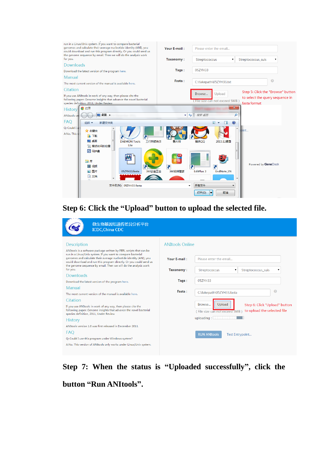

## **Step 6: Click the "Upload" button to upload the selected file.**

| 微生物基因组遗传差异分析平台<br><b>ICDC, China CDC</b>                                                                                                                                                                    |                                        |                                                                                                |  |
|-------------------------------------------------------------------------------------------------------------------------------------------------------------------------------------------------------------|----------------------------------------|------------------------------------------------------------------------------------------------|--|
| <b>Description</b><br>ANItools is a software package written by PERL scripts that can be<br>run in a Linux/Unix system. If you want to compare bacterial                                                    | <b>ANItools Online</b>                 |                                                                                                |  |
| genomes and calculate their average nucleotide identity (ANI), you<br>could download and run this program directly. Or you could send us<br>the genome sequence by email. Then we will do the analysis work | Your E-mail:<br>Please enter the email |                                                                                                |  |
| for you.<br><b>Downloads</b>                                                                                                                                                                                | <b>Taxonomy:</b>                       | Streptococcus_suis<br>Streptococcus<br>▼<br>▼                                                  |  |
| Download the latest version of the program here.                                                                                                                                                            | Tags:                                  | 05ZYH33                                                                                        |  |
| <b>Manual</b>                                                                                                                                                                                               | Fasta:                                 | Q<br>C:\fakepath\05ZYH33.fasta                                                                 |  |
| The most current version of the manual is available here.                                                                                                                                                   |                                        |                                                                                                |  |
| Citation                                                                                                                                                                                                    |                                        | Browse<br>Upload                                                                               |  |
| If you use ANItools in work of any way, then please cite the<br>following paper: Genome insights that advance the novel bacterial<br>species definition, 2011, Under Review                                 |                                        | Step 6: Click "Upload" button<br>to upload the selected file<br>(File size can not exceed 5MB) |  |
| <b>History</b>                                                                                                                                                                                              |                                        | uploading:                                                                                     |  |
| ANItools version 1.0 was first released in December 2011.                                                                                                                                                   |                                        |                                                                                                |  |
| <b>FAO</b>                                                                                                                                                                                                  |                                        | <b>RUN ANItools</b><br>Test Entrypoint                                                         |  |
| Q: Could I use this program under Windows system?                                                                                                                                                           |                                        |                                                                                                |  |
| A:No. This version of ANItools only works under Linux/Unix system.                                                                                                                                          |                                        |                                                                                                |  |

**Step 7: When the status is "Uploaded successfully", click the button "Run ANItools".**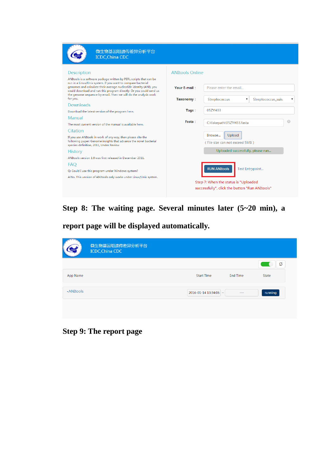| 微生物基因组遗传差异分析平台<br><b>ICDC, China CDC</b>                                                                                                                                                                                                                                                                                                                                                                                                                                        |                                                            |                                                                                                                                                                                     |                        |   |
|---------------------------------------------------------------------------------------------------------------------------------------------------------------------------------------------------------------------------------------------------------------------------------------------------------------------------------------------------------------------------------------------------------------------------------------------------------------------------------|------------------------------------------------------------|-------------------------------------------------------------------------------------------------------------------------------------------------------------------------------------|------------------------|---|
| <b>Description</b><br>ANItools is a software package written by PERL scripts that can be<br>run in a Linux/Unix system. If you want to compare bacterial<br>genomes and calculate their average nucleotide identity (ANI), you<br>could download and run this program directly. Or you could send us<br>the genome sequence by email. Then we will do the analysis work<br>for you.<br><b>Downloads</b>                                                                         | <b>ANItools Online</b><br><b>Your E-mail:</b><br>Taxonomy: | Please enter the email<br>Streptococcus<br>$\pmb{\mathrm{v}}$                                                                                                                       | Streptococcus suis     | ۷ |
| Download the latest version of the program here.                                                                                                                                                                                                                                                                                                                                                                                                                                | Tags:                                                      | 05ZYH33                                                                                                                                                                             |                        |   |
| Manual<br>The most current version of the manual is available here.<br>Citation<br>If you use ANItools in work of any way, then please cite the<br>following paper: Genome insights that advance the novel bacterial<br>species definition, 2011, Under Review<br><b>History</b><br>ANItools version 1.0 was first released in December 2011.<br>FAO<br>Q: Could I use this program under Windows system?<br>A:No. This version of ANItools only works under Linux/Unix system. | Fasta:                                                     | C:\fakepath\05ZYH33.fasta<br>Upload<br>Browse<br>(File size can not exceed 5MB)<br>Uploaded successfully, please run<br><b>RUN ANItools</b><br>Step 7: When the status is "Uploaded | <b>Test Entrypoint</b> | e |
|                                                                                                                                                                                                                                                                                                                                                                                                                                                                                 |                                                            | successfully", click the button "Run ANItools"                                                                                                                                      |                        |   |

## **Step 8: The waiting page. Several minutes later (5~20 min), a**

**report page will be displayed automatically.**

|                  | 微生物基因组遗传差异分析平台<br><b>ICDC, China CDC</b> |                       |                 |               |
|------------------|------------------------------------------|-----------------------|-----------------|---------------|
|                  |                                          |                       |                 | $\mathcal{Z}$ |
| App Name         |                                          | <b>Start Time</b>     | <b>End Time</b> | State         |
| <b>-ANItools</b> |                                          | 2016-01-14 13:34:06 ~ | $- - -$         | running       |
|                  |                                          |                       |                 |               |

## **Step 9: The report page**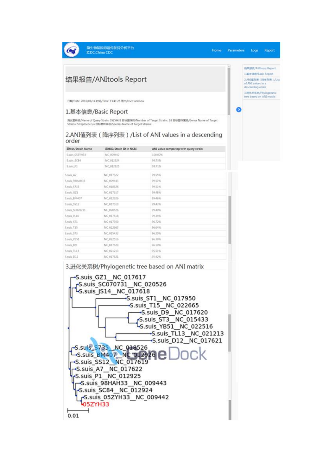微生物基因组造传差异分析平台 **ICDC**, China CDC

 $\bigcirc$ 

۵

# 结果报告/ANItools Report

日期/Date: 2016/01/14 时间/Time: 13:41:28 用户/User: unknow

#### 1.基本信息/Basic Report

-<br>同试窗阵名/Name of Query Strain: 052YH33 目标窗标数/Number of Target Strains: 18 目标窗阵属名/Genus Name of Target<br>Strains: Streptococcus 目标窗框中名/Species Name of Target Strains:

#### 2.ANI值列表 (降序列表) / List of ANI values in a descending order

| 菌株名/Strain Name | 画标ID/Strain ID in NCBI | ANI value comparing with query strain |  |
|-----------------|------------------------|---------------------------------------|--|
| S.suis_05ZYH33  | NC 009442              | 100.00%                               |  |
| Sauls SC84      | NC 012924              | 99.75%                                |  |
| S.suis. P1      | NC.012925              | 99.71%                                |  |
| S.suis.A7       | NC_017622              | 99.55%                                |  |
| 5.suis_98HAH33  | NC.009443              | 99.51%                                |  |
| S.suis_5735     | NC 018526              | 99.51%                                |  |
| Ssuis GZ1       | NC 017617              | 99.48%                                |  |
| S.suis_BM407    | NC 012926              | 99.46%                                |  |
| Sauls SS12      | NC_017619              | 99.43%                                |  |
| S.suit_SC070731 | NC_020526              | 99.40%                                |  |
| S.suis_1514     | NC_017618              | 99.34%                                |  |
| S.suis_ST1      | NC 017950              | 96.72%                                |  |
| Sauls T15       | NC 022665              | 96.64%                                |  |
| Sauls ST3       | NC 015433              | 96,30%                                |  |
| S.suis. VB51    | NC 022516              | 96.30%                                |  |
| S.suis_D9       | NC 017620              | 96,10%                                |  |
| S.suis_TL13     | NC_021213              | 95.51%                                |  |
| Sauls D12       | NC 017621              | 95.42%                                |  |

#### 3. 进化关系树/Phylogenetic tree based on ANI matrix



情果规告/ANitools Report 1 W.S. GLB /Rasic Renort 2 ANGERIS ( BURRIS ) Aist of ANI values in a 3.89 K M M Phylogenetic<br>tree based on ANI matrix